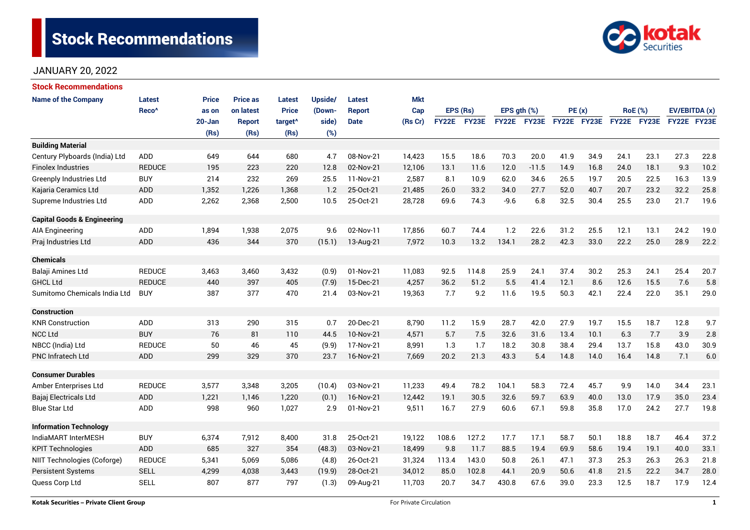# **Stock Recommendations**



## JANUARY 20, 2022

| <b>Stock Recommendations</b>           |                   |            |                 |                     |         |               |            |              |       |                  |         |             |      |      |                |               |      |
|----------------------------------------|-------------------|------------|-----------------|---------------------|---------|---------------|------------|--------------|-------|------------------|---------|-------------|------|------|----------------|---------------|------|
| <b>Name of the Company</b>             | <b>Latest</b>     | Price      | <b>Price as</b> | <b>Latest</b>       | Upside/ | <b>Latest</b> | <b>Mkt</b> |              |       |                  |         |             |      |      |                |               |      |
|                                        | Reco <sup>^</sup> | as on      | on latest       | <b>Price</b>        | (Down-  | <b>Report</b> | Cap        | EPS (Rs)     |       | EPS $qth$ $(\%)$ |         | PE(x)       |      |      | <b>RoE</b> (%) | EV/EBITDA (x) |      |
|                                        |                   | $20 - Jan$ | <b>Report</b>   | target <sup>^</sup> | side)   | <b>Date</b>   | (Rs Cr)    | <b>FY22E</b> | FY23E | FY22E            | FY23E   | FY22E FY23E |      |      | FY22E FY23E    | FY22E FY23E   |      |
|                                        |                   | (Rs)       | (Rs)            | (Rs)                | (%)     |               |            |              |       |                  |         |             |      |      |                |               |      |
| <b>Building Material</b>               |                   |            |                 |                     |         |               |            |              |       |                  |         |             |      |      |                |               |      |
| Century Plyboards (India) Ltd          | <b>ADD</b>        | 649        | 644             | 680                 | 4.7     | 08-Nov-21     | 14,423     | 15.5         | 18.6  | 70.3             | 20.0    | 41.9        | 34.9 | 24.1 | 23.1           | 27.3          | 22.8 |
| <b>Finolex Industries</b>              | <b>REDUCE</b>     | 195        | 223             | 220                 | 12.8    | 02-Nov-21     | 12,106     | 13.1         | 11.6  | 12.0             | $-11.5$ | 14.9        | 16.8 | 24.0 | 18.1           | 9.3           | 10.2 |
| Greenply Industries Ltd                | <b>BUY</b>        | 214        | 232             | 269                 | 25.5    | 11-Nov-21     | 2,587      | 8.1          | 10.9  | 62.0             | 34.6    | 26.5        | 19.7 | 20.5 | 22.5           | 16.3          | 13.9 |
| Kajaria Ceramics Ltd                   | <b>ADD</b>        | 1,352      | 1,226           | 1,368               | 1.2     | 25-Oct-21     | 21,485     | 26.0         | 33.2  | 34.0             | 27.7    | 52.0        | 40.7 | 20.7 | 23.2           | 32.2          | 25.8 |
| Supreme Industries Ltd                 | <b>ADD</b>        | 2,262      | 2,368           | 2,500               | 10.5    | 25-Oct-21     | 28,728     | 69.6         | 74.3  | $-9.6$           | 6.8     | 32.5        | 30.4 | 25.5 | 23.0           | 21.7          | 19.6 |
| <b>Capital Goods &amp; Engineering</b> |                   |            |                 |                     |         |               |            |              |       |                  |         |             |      |      |                |               |      |
| <b>AIA Engineering</b>                 | ADD               | 1,894      | 1,938           | 2,075               | 9.6     | 02-Nov-11     | 17,856     | 60.7         | 74.4  | 1.2              | 22.6    | 31.2        | 25.5 | 12.1 | 13.1           | 24.2          | 19.0 |
| Praj Industries Ltd                    | <b>ADD</b>        | 436        | 344             | 370                 | (15.1)  | 13-Aug-21     | 7,972      | 10.3         | 13.2  | 134.1            | 28.2    | 42.3        | 33.0 | 22.2 | 25.0           | 28.9          | 22.2 |
| <b>Chemicals</b>                       |                   |            |                 |                     |         |               |            |              |       |                  |         |             |      |      |                |               |      |
| Balaji Amines Ltd                      | <b>REDUCE</b>     | 3,463      | 3,460           | 3,432               | (0.9)   | 01-Nov-21     | 11,083     | 92.5         | 114.8 | 25.9             | 24.1    | 37.4        | 30.2 | 25.3 | 24.1           | 25.4          | 20.7 |
| <b>GHCL Ltd</b>                        | <b>REDUCE</b>     | 440        | 397             | 405                 | (7.9)   | 15-Dec-21     | 4,257      | 36.2         | 51.2  | 5.5              | 41.4    | 12.1        | 8.6  | 12.6 | 15.5           | 7.6           | 5.8  |
| Sumitomo Chemicals India Ltd           | <b>BUY</b>        | 387        | 377             | 470                 | 21.4    | 03-Nov-21     | 19,363     | 7.7          | 9.2   | 11.6             | 19.5    | 50.3        | 42.1 | 22.4 | 22.0           | 35.1          | 29.0 |
| <b>Construction</b>                    |                   |            |                 |                     |         |               |            |              |       |                  |         |             |      |      |                |               |      |
| <b>KNR Construction</b>                | ADD               | 313        | 290             | 315                 | 0.7     | 20-Dec-21     | 8,790      | 11.2         | 15.9  | 28.7             | 42.0    | 27.9        | 19.7 | 15.5 | 18.7           | 12.8          | 9.7  |
| <b>NCC Ltd</b>                         | <b>BUY</b>        | 76         | 81              | 110                 | 44.5    | 10-Nov-21     | 4,571      | 5.7          | 7.5   | 32.6             | 31.6    | 13.4        | 10.1 | 6.3  | 7.7            | 3.9           | 2.8  |
| NBCC (India) Ltd                       | <b>REDUCE</b>     | 50         | 46              | 45                  | (9.9)   | 17-Nov-21     | 8,991      | 1.3          | 1.7   | 18.2             | 30.8    | 38.4        | 29.4 | 13.7 | 15.8           | 43.0          | 30.9 |
| PNC Infratech Ltd                      | <b>ADD</b>        | 299        | 329             | 370                 | 23.7    | 16-Nov-21     | 7.669      | 20.2         | 21.3  | 43.3             | 5.4     | 14.8        | 14.0 | 16.4 | 14.8           | 7.1           | 6.0  |
| <b>Consumer Durables</b>               |                   |            |                 |                     |         |               |            |              |       |                  |         |             |      |      |                |               |      |
| Amber Enterprises Ltd                  | <b>REDUCE</b>     | 3,577      | 3,348           | 3,205               | (10.4)  | 03-Nov-21     | 11,233     | 49.4         | 78.2  | 104.1            | 58.3    | 72.4        | 45.7 | 9.9  | 14.0           | 34.4          | 23.1 |
| Bajaj Electricals Ltd                  | <b>ADD</b>        | 1,221      | 1,146           | 1,220               | (0.1)   | 16-Nov-21     | 12,442     | 19.1         | 30.5  | 32.6             | 59.7    | 63.9        | 40.0 | 13.0 | 17.9           | 35.0          | 23.4 |
| <b>Blue Star Ltd</b>                   | <b>ADD</b>        | 998        | 960             | 1,027               | 2.9     | 01-Nov-21     | 9,511      | 16.7         | 27.9  | 60.6             | 67.1    | 59.8        | 35.8 | 17.0 | 24.2           | 27.7          | 19.8 |
| <b>Information Technology</b>          |                   |            |                 |                     |         |               |            |              |       |                  |         |             |      |      |                |               |      |
| IndiaMART InterMESH                    | <b>BUY</b>        | 6,374      | 7,912           | 8,400               | 31.8    | 25-Oct-21     | 19,122     | 108.6        | 127.2 | 17.7             | 17.1    | 58.7        | 50.1 | 18.8 | 18.7           | 46.4          | 37.2 |
| <b>KPIT Technologies</b>               | <b>ADD</b>        | 685        | 327             | 354                 | (48.3)  | 03-Nov-21     | 18,499     | 9.8          | 11.7  | 88.5             | 19.4    | 69.9        | 58.6 | 19.4 | 19.1           | 40.0          | 33.1 |
| NIIT Technologies (Coforge)            | <b>REDUCE</b>     | 5,341      | 5,069           | 5,086               | (4.8)   | 26-Oct-21     | 31,324     | 113.4        | 143.0 | 50.8             | 26.1    | 47.1        | 37.3 | 25.3 | 26.3           | 26.3          | 21.8 |
| <b>Persistent Systems</b>              | <b>SELL</b>       | 4,299      | 4,038           | 3,443               | (19.9)  | 28-Oct-21     | 34,012     | 85.0         | 102.8 | 44.1             | 20.9    | 50.6        | 41.8 | 21.5 | 22.2           | 34.7          | 28.0 |
| Quess Corp Ltd                         | <b>SELL</b>       | 807        | 877             | 797                 | (1.3)   | 09-Aug-21     | 11,703     | 20.7         | 34.7  | 430.8            | 67.6    | 39.0        | 23.3 | 12.5 | 18.7           | 17.9          | 12.4 |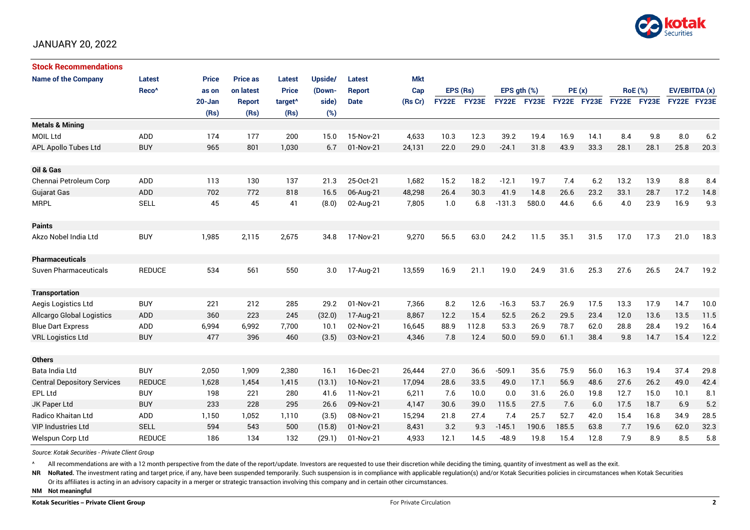

## JANUARY 20, 2022

| <b>Stock Recommendations</b>       |                   |              |                 |                     |         |               |            |              |       |                  |              |             |      |                |      |               |      |
|------------------------------------|-------------------|--------------|-----------------|---------------------|---------|---------------|------------|--------------|-------|------------------|--------------|-------------|------|----------------|------|---------------|------|
| <b>Name of the Company</b>         | <b>Latest</b>     | <b>Price</b> | <b>Price as</b> | Latest              | Upside/ | Latest        | <b>Mkt</b> |              |       |                  |              |             |      |                |      |               |      |
|                                    | Reco <sup>^</sup> | as on        | on latest       | <b>Price</b>        | (Down-  | <b>Report</b> | Cap        | EPS (Rs)     |       | EPS $gth$ $(\%)$ |              | PE(x)       |      | <b>RoE</b> (%) |      | EV/EBITDA (x) |      |
|                                    |                   | $20 - Jan$   | <b>Report</b>   | target <sup>^</sup> | side)   | <b>Date</b>   | (Rs Cr)    | <b>FY22E</b> | FY23E | <b>FY22E</b>     | <b>FY23E</b> | FY22E FY23E |      | FY22E FY23E    |      | FY22E FY23E   |      |
|                                    |                   | (Rs)         | (Rs)            | (Rs)                | (%)     |               |            |              |       |                  |              |             |      |                |      |               |      |
| <b>Metals &amp; Mining</b>         |                   |              |                 |                     |         |               |            |              |       |                  |              |             |      |                |      |               |      |
| <b>MOIL Ltd</b>                    | <b>ADD</b>        | 174          | 177             | 200                 | 15.0    | 15-Nov-21     | 4,633      | 10.3         | 12.3  | 39.2             | 19.4         | 16.9        | 14.1 | 8.4            | 9.8  | 8.0           | 6.2  |
| APL Apollo Tubes Ltd               | <b>BUY</b>        | 965          | 801             | 1,030               | 6.7     | 01-Nov-21     | 24,131     | 22.0         | 29.0  | $-24.1$          | 31.8         | 43.9        | 33.3 | 28.1           | 28.1 | 25.8          | 20.3 |
|                                    |                   |              |                 |                     |         |               |            |              |       |                  |              |             |      |                |      |               |      |
| Oil & Gas                          |                   |              |                 |                     |         |               |            |              |       |                  |              |             |      |                |      |               |      |
| Chennai Petroleum Corp             | ADD               | 113          | 130             | 137                 | 21.3    | 25-Oct-21     | 1,682      | 15.2         | 18.2  | $-12.1$          | 19.7         | 7.4         | 6.2  | 13.2           | 13.9 | 8.8           | 8.4  |
| Gujarat Gas                        | <b>ADD</b>        | 702          | 772             | 818                 | 16.5    | 06-Aug-21     | 48,298     | 26.4         | 30.3  | 41.9             | 14.8         | 26.6        | 23.2 | 33.1           | 28.7 | 17.2          | 14.8 |
| <b>MRPL</b>                        | <b>SELL</b>       | 45           | 45              | 41                  | (8.0)   | 02-Aug-21     | 7,805      | 1.0          | 6.8   | $-131.3$         | 580.0        | 44.6        | 6.6  | 4.0            | 23.9 | 16.9          | 9.3  |
|                                    |                   |              |                 |                     |         |               |            |              |       |                  |              |             |      |                |      |               |      |
| <b>Paints</b>                      |                   |              |                 |                     |         |               |            |              |       |                  |              |             |      |                |      |               |      |
| Akzo Nobel India Ltd               | <b>BUY</b>        | 1,985        | 2,115           | 2,675               | 34.8    | 17-Nov-21     | 9,270      | 56.5         | 63.0  | 24.2             | 11.5         | 35.1        | 31.5 | 17.0           | 17.3 | 21.0          | 18.3 |
|                                    |                   |              |                 |                     |         |               |            |              |       |                  |              |             |      |                |      |               |      |
| <b>Pharmaceuticals</b>             |                   |              |                 |                     |         |               |            |              |       |                  |              |             |      |                |      |               |      |
| Suven Pharmaceuticals              | <b>REDUCE</b>     | 534          | 561             | 550                 | 3.0     | 17-Aug-21     | 13,559     | 16.9         | 21.1  | 19.0             | 24.9         | 31.6        | 25.3 | 27.6           | 26.5 | 24.7          | 19.2 |
|                                    |                   |              |                 |                     |         |               |            |              |       |                  |              |             |      |                |      |               |      |
| <b>Transportation</b>              |                   |              |                 |                     |         |               |            |              |       |                  |              |             |      |                |      |               |      |
| Aegis Logistics Ltd                | <b>BUY</b>        | 221          | 212             | 285                 | 29.2    | 01-Nov-21     | 7,366      | 8.2          | 12.6  | $-16.3$          | 53.7         | 26.9        | 17.5 | 13.3           | 17.9 | 14.7          | 10.0 |
| <b>Allcargo Global Logistics</b>   | <b>ADD</b>        | 360          | 223             | 245                 | (32.0)  | 17-Aug-21     | 8,867      | 12.2         | 15.4  | 52.5             | 26.2         | 29.5        | 23.4 | 12.0           | 13.6 | 13.5          | 11.5 |
| <b>Blue Dart Express</b>           | ADD               | 6,994        | 6,992           | 7,700               | 10.1    | 02-Nov-21     | 16,645     | 88.9         | 112.8 | 53.3             | 26.9         | 78.7        | 62.0 | 28.8           | 28.4 | 19.2          | 16.4 |
| <b>VRL Logistics Ltd</b>           | <b>BUY</b>        | 477          | 396             | 460                 | (3.5)   | 03-Nov-21     | 4,346      | 7.8          | 12.4  | 50.0             | 59.0         | 61.1        | 38.4 | 9.8            | 14.7 | 15.4          | 12.2 |
|                                    |                   |              |                 |                     |         |               |            |              |       |                  |              |             |      |                |      |               |      |
| <b>Others</b>                      |                   |              |                 |                     |         |               |            |              |       |                  |              |             |      |                |      |               |      |
| Bata India Ltd                     | <b>BUY</b>        | 2,050        | 1,909           | 2,380               | 16.1    | 16-Dec-21     | 26,444     | 27.0         | 36.6  | $-509.1$         | 35.6         | 75.9        | 56.0 | 16.3           | 19.4 | 37.4          | 29.8 |
| <b>Central Depository Services</b> | <b>REDUCE</b>     | 1,628        | 1,454           | 1,415               | (13.1)  | 10-Nov-21     | 17,094     | 28.6         | 33.5  | 49.0             | 17.1         | 56.9        | 48.6 | 27.6           | 26.2 | 49.0          | 42.4 |
| EPL Ltd                            | <b>BUY</b>        | 198          | 221             | 280                 | 41.6    | 11-Nov-21     | 6,211      | 7.6          | 10.0  | 0.0              | 31.6         | 26.0        | 19.8 | 12.7           | 15.0 | 10.1          | 8.1  |
| JK Paper Ltd                       | <b>BUY</b>        | 233          | 228             | 295                 | 26.6    | 09-Nov-21     | 4,147      | 30.6         | 39.0  | 115.5            | 27.5         | 7.6         | 6.0  | 17.5           | 18.7 | 6.9           | 5.2  |
| <b>Radico Khaitan Ltd</b>          | ADD               | 1,150        | 1,052           | 1,110               | (3.5)   | 08-Nov-21     | 15.294     | 21.8         | 27.4  | 7.4              | 25.7         | 52.7        | 42.0 | 15.4           | 16.8 | 34.9          | 28.5 |
| <b>VIP Industries Ltd</b>          | <b>SELL</b>       | 594          | 543             | 500                 | (15.8)  | 01-Nov-21     | 8,431      | 3.2          | 9.3   | $-145.1$         | 190.6        | 185.5       | 63.8 | 7.7            | 19.6 | 62.0          | 32.3 |
| Welspun Corp Ltd                   | <b>REDUCE</b>     | 186          | 134             | 132                 | (29.1)  | 01-Nov-21     | 4,933      | 12.1         | 14.5  | $-48.9$          | 19.8         | 15.4        | 12.8 | 7.9            | 8.9  | 8.5           | 5.8  |

*Source: Kotak Securities - Private Client Group*

All recommendations are with a 12 month perspective from the date of the report/update. Investors are requested to use their discretion while deciding the timing, quantity of investment as well as the exit.

NR NoRated. The investment rating and target price, if any, have been suspended temporarily. Such suspension is in compliance with applicable regulation(s) and/or Kotak Securities policies in circumstances when Kotak Secur

Or its affiliates is acting in an advisory capacity in a merger or strategic transaction involving this company and in certain other circumstances.

**NM Not meaningful**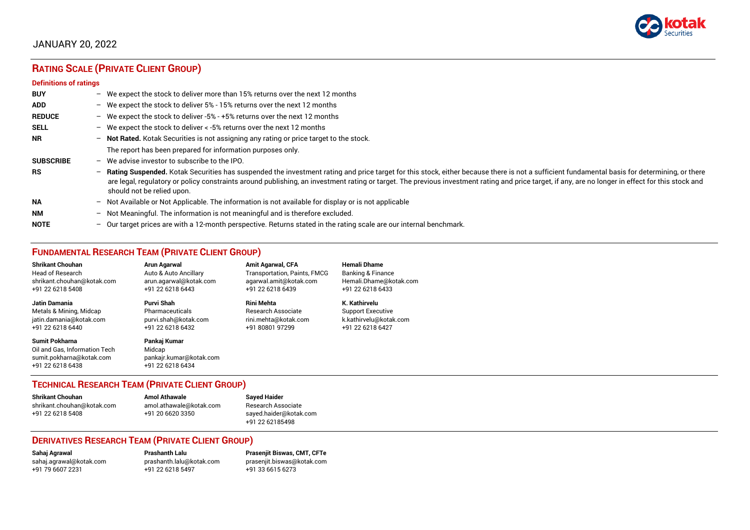

# JANUARY 20, 2022

# **RATING SCALE (PRIVATE CLIENT GROUP)**

#### **Definitions of ratings**

| <b>BUY</b>       | - We expect the stock to deliver more than 15% returns over the next 12 months                                                                                                                                                                                                                                                                                                                                                     |
|------------------|------------------------------------------------------------------------------------------------------------------------------------------------------------------------------------------------------------------------------------------------------------------------------------------------------------------------------------------------------------------------------------------------------------------------------------|
| <b>ADD</b>       | - We expect the stock to deliver 5% - 15% returns over the next 12 months                                                                                                                                                                                                                                                                                                                                                          |
| <b>REDUCE</b>    | - We expect the stock to deliver -5% - +5% returns over the next 12 months                                                                                                                                                                                                                                                                                                                                                         |
| <b>SELL</b>      | - We expect the stock to deliver $\lt$ -5% returns over the next 12 months                                                                                                                                                                                                                                                                                                                                                         |
| NR.              | - Not Rated. Kotak Securities is not assigning any rating or price target to the stock.                                                                                                                                                                                                                                                                                                                                            |
|                  | The report has been prepared for information purposes only.                                                                                                                                                                                                                                                                                                                                                                        |
| <b>SUBSCRIBE</b> | $-$ We advise investor to subscribe to the IPO.                                                                                                                                                                                                                                                                                                                                                                                    |
| <b>RS</b>        | - Rating Suspended. Kotak Securities has suspended the investment rating and price target for this stock, either because there is not a sufficient fundamental basis for determining, or there<br>are legal, regulatory or policy constraints around publishing, an investment rating or target. The previous investment rating and price target, if any, are no longer in effect for this stock and<br>should not be relied upon. |
| <b>NA</b>        | - Not Available or Not Applicable. The information is not available for display or is not applicable                                                                                                                                                                                                                                                                                                                               |
| <b>NM</b>        | - Not Meaningful. The information is not meaningful and is therefore excluded.                                                                                                                                                                                                                                                                                                                                                     |
| <b>NOTE</b>      | $-$ Our target prices are with a 12-month perspective. Returns stated in the rating scale are our internal benchmark.                                                                                                                                                                                                                                                                                                              |

## **FUNDAMENTAL RESEARCH TEAM (PRIVATE CLIENT GROUP)**

| <b>Shrikant Chouhan</b>                                                                                | <b>Arun Agarwal</b>                                                   | <b>Amit Agarwal, CFA</b>            | <b>Hemali Dhame</b>          |
|--------------------------------------------------------------------------------------------------------|-----------------------------------------------------------------------|-------------------------------------|------------------------------|
| <b>Head of Research</b>                                                                                | Auto & Auto Ancillary                                                 | <b>Transportation, Paints, FMCG</b> | <b>Banking &amp; Finance</b> |
| shrikant.chouhan@kotak.com                                                                             | arun.agarwal@kotak.com                                                | agarwal.amit@kotak.com              | Hemali.Dhame@kotak.com       |
| +91 22 6218 5408                                                                                       | +91 22 6218 6443                                                      | +91 22 6218 6439                    | +91 22 6218 6433             |
| Jatin Damania                                                                                          | Purvi Shah                                                            | <b>Rini Mehta</b>                   | K. Kathirvelu                |
| Metals & Mining, Midcap                                                                                | Pharmaceuticals                                                       | Research Associate                  | <b>Support Executive</b>     |
| jatin.damania@kotak.com                                                                                | purvi.shah@kotak.com                                                  | rini.mehta@kotak.com                | k.kathirvelu@kotak.com       |
| +91 22 6218 6440                                                                                       | +91 22 6218 6432                                                      | +91 80801 97299                     | +91 22 6218 6427             |
| <b>Sumit Pokharna</b><br>Oil and Gas. Information Tech<br>sumit.pokharna@kotak.com<br>+91 22 6218 6438 | Pankaj Kumar<br>Midcap<br>pankajr.kumar@kotak.com<br>+91 22 6218 6434 |                                     |                              |

## **TECHNICAL RESEARCH TEAM (PRIVATE CLIENT GROUP)**

| Shrikant Chouhan           | <b>Amol Athawale</b>    | <b>Sayed Haider</b>    |
|----------------------------|-------------------------|------------------------|
| shrikant.chouhan@kotak.com | amol.athawale@kotak.com | Research Associate     |
| +91 22 6218 5408           | +91 20 6620 3350        | sayed.haider@kotak.com |
|                            |                         | +91 22 62185498        |

#### **DERIVATIVES RESEARCH TEAM (PRIVATE CLIENT GROUP)**

+91 22 6218 5497 +91 33 6615 6273

**Sahaj Agrawal Prashanth Lalu Prasenjit Biswas, CMT, CFTe** [sahaj.agrawal@kotak.com](mailto:sahaj.agrawal@kotak.com) [prashanth.lalu@kotak.com](mailto:prashanth.lalu@kotak.com) [prasenjit.biswas@kotak.com](mailto:prasenjit.biswas@kotak.com)